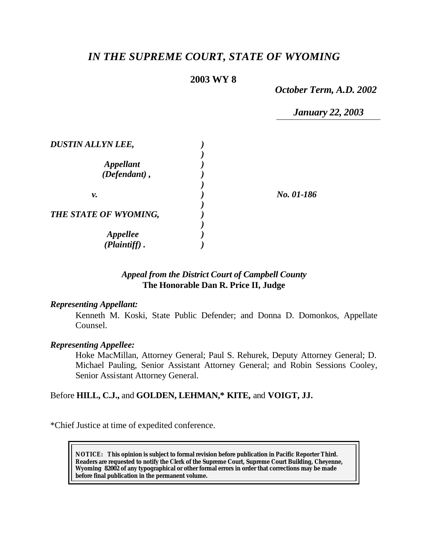# *IN THE SUPREME COURT, STATE OF WYOMING*

## **2003 WY 8**

*October Term, A.D. 2002*

*January 22, 2003*

| No. 01-186 |
|------------|
|            |
|            |
|            |
|            |

## *Appeal from the District Court of Campbell County* **The Honorable Dan R. Price II, Judge**

#### *Representing Appellant:*

Kenneth M. Koski, State Public Defender; and Donna D. Domonkos, Appellate Counsel.

#### *Representing Appellee:*

Hoke MacMillan, Attorney General; Paul S. Rehurek, Deputy Attorney General; D. Michael Pauling, Senior Assistant Attorney General; and Robin Sessions Cooley, Senior Assistant Attorney General.

## Before **HILL, C.J.,** and **GOLDEN, LEHMAN,\* KITE,** and **VOIGT, JJ.**

\*Chief Justice at time of expedited conference.

**NOTICE:** *This opinion is subject to formal revision before publication in Pacific Reporter Third. Readers are requested to notify the Clerk of the Supreme Court, Supreme Court Building, Cheyenne, Wyoming 82002 of any typographical or other formal errors in order that corrections may be made before final publication in the permanent volume.*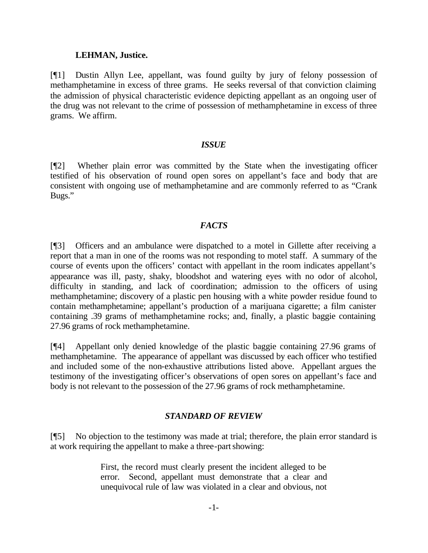#### **LEHMAN, Justice.**

[¶1] Dustin Allyn Lee, appellant, was found guilty by jury of felony possession of methamphetamine in excess of three grams. He seeks reversal of that conviction claiming the admission of physical characteristic evidence depicting appellant as an ongoing user of the drug was not relevant to the crime of possession of methamphetamine in excess of three grams. We affirm.

## *ISSUE*

[¶2] Whether plain error was committed by the State when the investigating officer testified of his observation of round open sores on appellant's face and body that are consistent with ongoing use of methamphetamine and are commonly referred to as "Crank Bugs."

## *FACTS*

[¶3] Officers and an ambulance were dispatched to a motel in Gillette after receiving a report that a man in one of the rooms was not responding to motel staff. A summary of the course of events upon the officers' contact with appellant in the room indicates appellant's appearance was ill, pasty, shaky, bloodshot and watering eyes with no odor of alcohol, difficulty in standing, and lack of coordination; admission to the officers of using methamphetamine; discovery of a plastic pen housing with a white powder residue found to contain methamphetamine; appellant's production of a marijuana cigarette; a film canister containing .39 grams of methamphetamine rocks; and, finally, a plastic baggie containing 27.96 grams of rock methamphetamine.

[¶4] Appellant only denied knowledge of the plastic baggie containing 27.96 grams of methamphetamine. The appearance of appellant was discussed by each officer who testified and included some of the non-exhaustive attributions listed above. Appellant argues the testimony of the investigating officer's observations of open sores on appellant's face and body is not relevant to the possession of the 27.96 grams of rock methamphetamine.

## *STANDARD OF REVIEW*

[¶5] No objection to the testimony was made at trial; therefore, the plain error standard is at work requiring the appellant to make a three-part showing:

> First, the record must clearly present the incident alleged to be error. Second, appellant must demonstrate that a clear and unequivocal rule of law was violated in a clear and obvious, not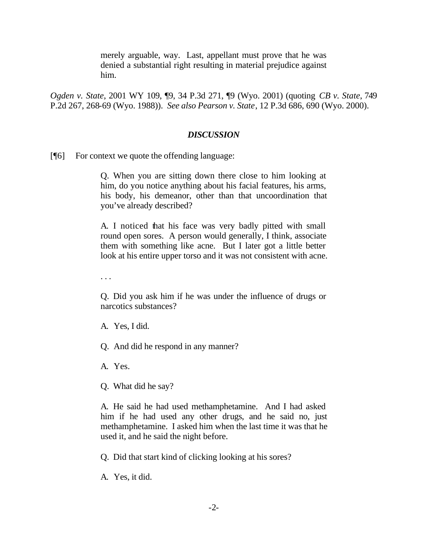merely arguable, way. Last, appellant must prove that he was denied a substantial right resulting in material prejudice against him.

*Ogden v. State*, 2001 WY 109, ¶9, 34 P.3d 271, ¶9 (Wyo. 2001) (quoting *CB v. State*, 749 P.2d 267, 268-69 (Wyo. 1988)). *See also Pearson v. State*, 12 P.3d 686, 690 (Wyo. 2000).

#### *DISCUSSION*

[¶6] For context we quote the offending language:

Q. When you are sitting down there close to him looking at him, do you notice anything about his facial features, his arms, his body, his demeanor, other than that uncoordination that you've already described?

A. I noticed that his face was very badly pitted with small round open sores. A person would generally, I think, associate them with something like acne. But I later got a little better look at his entire upper torso and it was not consistent with acne.

. . .

Q. Did you ask him if he was under the influence of drugs or narcotics substances?

A. Yes, I did.

Q. And did he respond in any manner?

A. Yes.

Q. What did he say?

A. He said he had used methamphetamine. And I had asked him if he had used any other drugs, and he said no, just methamphetamine. I asked him when the last time it was that he used it, and he said the night before.

Q. Did that start kind of clicking looking at his sores?

A. Yes, it did.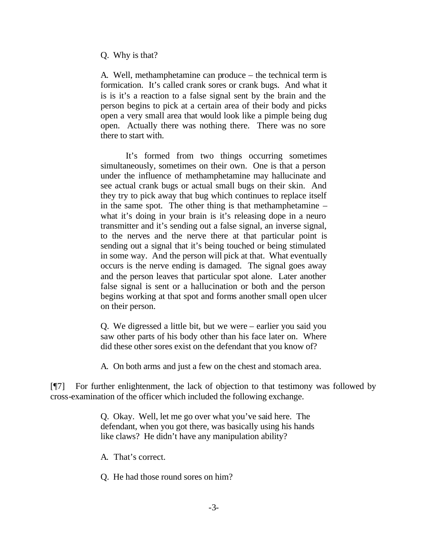#### Q. Why is that?

A. Well, methamphetamine can produce – the technical term is formication. It's called crank sores or crank bugs. And what it is is it's a reaction to a false signal sent by the brain and the person begins to pick at a certain area of their body and picks open a very small area that would look like a pimple being dug open. Actually there was nothing there. There was no sore there to start with.

It's formed from two things occurring sometimes simultaneously, sometimes on their own. One is that a person under the influence of methamphetamine may hallucinate and see actual crank bugs or actual small bugs on their skin. And they try to pick away that bug which continues to replace itself in the same spot. The other thing is that methamphetamine – what it's doing in your brain is it's releasing dope in a neuro transmitter and it's sending out a false signal, an inverse signal, to the nerves and the nerve there at that particular point is sending out a signal that it's being touched or being stimulated in some way. And the person will pick at that. What eventually occurs is the nerve ending is damaged. The signal goes away and the person leaves that particular spot alone. Later another false signal is sent or a hallucination or both and the person begins working at that spot and forms another small open ulcer on their person.

Q. We digressed a little bit, but we were – earlier you said you saw other parts of his body other than his face later on. Where did these other sores exist on the defendant that you know of?

A. On both arms and just a few on the chest and stomach area.

[¶7] For further enlightenment, the lack of objection to that testimony was followed by cross-examination of the officer which included the following exchange.

> Q. Okay. Well, let me go over what you've said here. The defendant, when you got there, was basically using his hands like claws? He didn't have any manipulation ability?

A. That's correct.

Q. He had those round sores on him?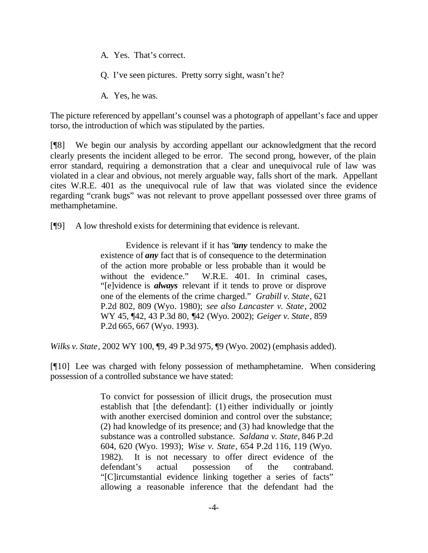A. Yes. That's correct.

Q. I've seen pictures. Pretty sorry sight, wasn't he?

A. Yes, he was.

The picture referenced by appellant's counsel was a photograph of appellant's face and upper torso, the introduction of which was stipulated by the parties.

[¶8] We begin our analysis by according appellant our acknowledgment that the record clearly presents the incident alleged to be error. The second prong, however, of the plain error standard, requiring a demonstration that a clear and unequivocal rule of law was violated in a clear and obvious, not merely arguable way, falls short of the mark. Appellant cites W.R.E. 401 as the unequivocal rule of law that was violated since the evidence regarding "crank bugs" was not relevant to prove appellant possessed over three grams of methamphetamine.

[¶9] A low threshold exists for determining that evidence is relevant.

Evidence is relevant if it has "*any* tendency to make the existence of *any* fact that is of consequence to the determination of the action more probable or less probable than it would be without the evidence." W.R.E. 401. In criminal cases, "[e]vidence is *always* relevant if it tends to prove or disprove one of the elements of the crime charged." *Grabill v. State*, 621 P.2d 802, 809 (Wyo. 1980); *see also Lancaster v. State*, 2002 WY 45, ¶42, 43 P.3d 80, ¶42 (Wyo. 2002); *Geiger v. State*, 859 P.2d 665, 667 (Wyo. 1993).

*Wilks v. State*, 2002 WY 100, ¶9, 49 P.3d 975, ¶9 (Wyo. 2002) (emphasis added).

[¶10] Lee was charged with felony possession of methamphetamine. When considering possession of a controlled substance we have stated:

> To convict for possession of illicit drugs, the prosecution must establish that [the defendant]: (1) either individually or jointly with another exercised dominion and control over the substance; (2) had knowledge of its presence; and (3) had knowledge that the substance was a controlled substance. *Saldana v. State*, 846 P.2d 604, 620 (Wyo. 1993); *Wise v. State*, 654 P.2d 116, 119 (Wyo. 1982). It is not necessary to offer direct evidence of the defendant's actual possession of the contraband. "[C]ircumstantial evidence linking together a series of facts" allowing a reasonable inference that the defendant had the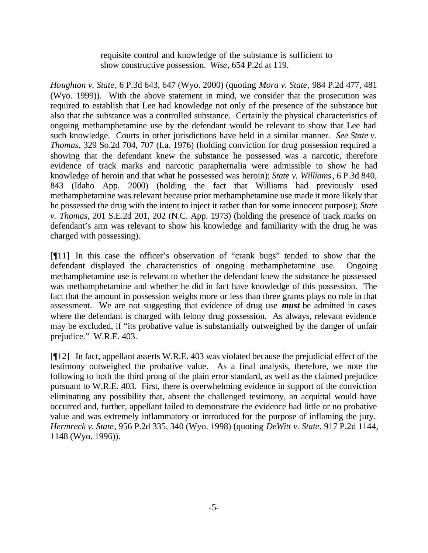requisite control and knowledge of the substance is sufficient to show constructive possession. *Wise*, 654 P.2d at 119.

*Houghton v. State*, 6 P.3d 643, 647 (Wyo. 2000) (quoting *Mora v. State*, 984 P.2d 477, 481 (Wyo. 1999)). With the above statement in mind, we consider that the prosecution was required to establish that Lee had knowledge not only of the presence of the substance but also that the substance was a controlled substance. Certainly the physical characteristics of ongoing methamphetamine use by the defendant would be relevant to show that Lee had such knowledge. Courts in other jurisdictions have held in a similar manner. *See State v. Thomas*, 329 So.2d 704, 707 (La. 1976) (holding conviction for drug possession required a showing that the defendant knew the substance he possessed was a narcotic, therefore evidence of track marks and narcotic paraphernalia were admissible to show he had knowledge of heroin and that what he possessed was heroin); *State v. Williams*, 6 P.3d 840, 843 (Idaho App. 2000) (holding the fact that Williams had previously used methamphetamine was relevant because prior methamphetamine use made it more likely that he possessed the drug with the intent to inject it rather than for some innocent purpose); *State v. Thomas*, 201 S.E.2d 201, 202 (N.C. App. 1973) (holding the presence of track marks on defendant's arm was relevant to show his knowledge and familiarity with the drug he was charged with possessing).

[¶11] In this case the officer's observation of "crank bugs" tended to show that the defendant displayed the characteristics of ongoing methamphetamine use. Ongoing methamphetamine use is relevant to whether the defendant knew the substance he possessed was methamphetamine and whether he did in fact have knowledge of this possession. The fact that the amount in possession weighs more or less than three grams plays no role in that assessment. We are not suggesting that evidence of drug use *must* be admitted in cases where the defendant is charged with felony drug possession. As always, relevant evidence may be excluded, if "its probative value is substantially outweighed by the danger of unfair prejudice." W.R.E. 403.

[¶12] In fact, appellant asserts W.R.E. 403 was violated because the prejudicial effect of the testimony outweighed the probative value. As a final analysis, therefore, we note the following to both the third prong of the plain error standard, as well as the claimed prejudice pursuant to W.R.E. 403. First, there is overwhelming evidence in support of the conviction eliminating any possibility that, absent the challenged testimony, an acquittal would have occurred and, further, appellant failed to demonstrate the evidence had little or no probative value and was extremely inflammatory or introduced for the purpose of inflaming the jury. *Hermreck v. State*, 956 P.2d 335, 340 (Wyo. 1998) (quoting *DeWitt v. State*, 917 P.2d 1144, 1148 (Wyo. 1996)).